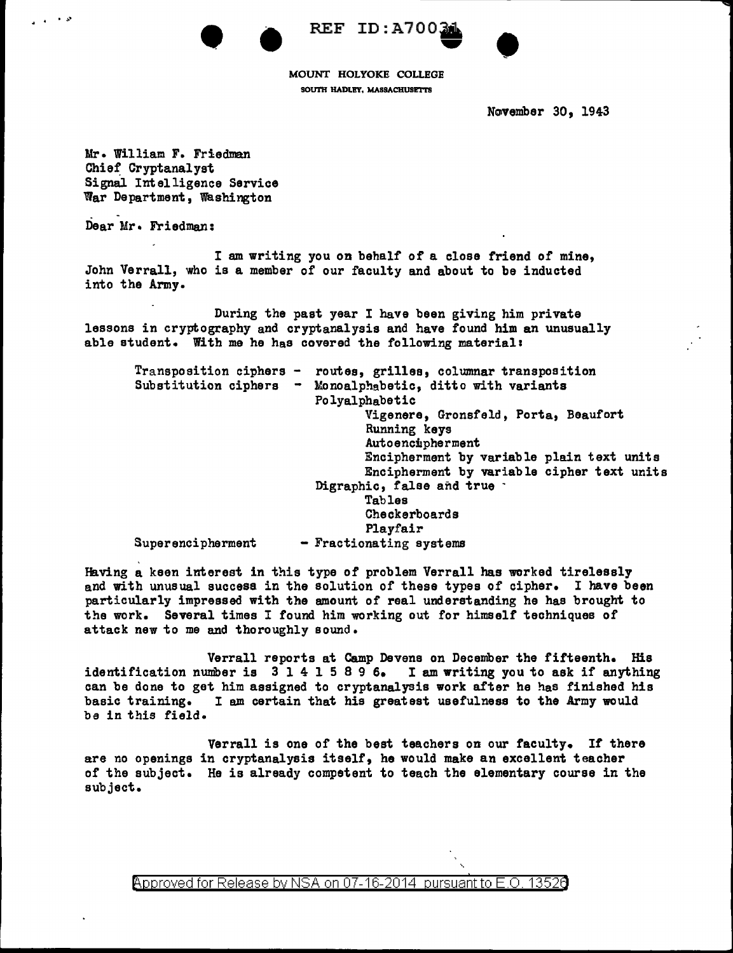•  $\bullet$ 



MOUNT HOLYOKE COLLEGE SOUTH HADLEY, MASSACHUSETTS

November 30, 1943

•

Mr. William F. Friedman Chief Cryptanalyst Signal Intelligence Service War Department, washington

Dear Mr. Friedman:

I am writing you on behalf of a close friend of mine, John Verrall, who is a member of our faculty and about to be inducted into the Army.

During the past year I have been giving him private lessons in cryptography and cryptanalysis and have found him an unusually able student. With me he has covered the following material:

| $Transportion ciphers -\$<br>Substitution ciphers | routes, grilles, columnar transposition<br>- Monoalphabetic, ditto with variants |
|---------------------------------------------------|----------------------------------------------------------------------------------|
|                                                   | Polyalphabetic                                                                   |
|                                                   | Vigenere, Gronsfeld, Porta, Beaufort<br>Running keys                             |
|                                                   | Autoencipherment                                                                 |
|                                                   | Encipherment by variable plain text units                                        |
|                                                   | Encipherment by variable cipher text units                                       |
|                                                   | Digraphic, false and true                                                        |
|                                                   | Tables                                                                           |
|                                                   | Checkerboards                                                                    |
|                                                   | Playfair                                                                         |
| Superencipherment                                 | - Fractionating systems                                                          |

Having a keen interest in this type of problem Verrall has worked tirelessly and with unusual success in the solution of these types of cipher. I have been particularly impressed with the amount of real understanding he has brought to the work. Several times I found him working out for himself techniques of attack new to me and thoroughly sound.

Verrall reports at Camp Devens on December the fifteenth. His identification number is 3 1 4 l 5 8 9 6. I am writing you to ask if anything can be done to get him assigned to cryptanalysis work after he has finished his basic training. I am certain that his greatest usefulness to the Army would ba in this field.

Verrall is one of the best teachers on our faculty. If there are no openings in cryptanalysis itself, he would make an excellent teacher of the subject. He is already competent to teach the elementary course in the subject.

Approved for Release by NSA on 07-16-2014 pursuant to E.O. 13526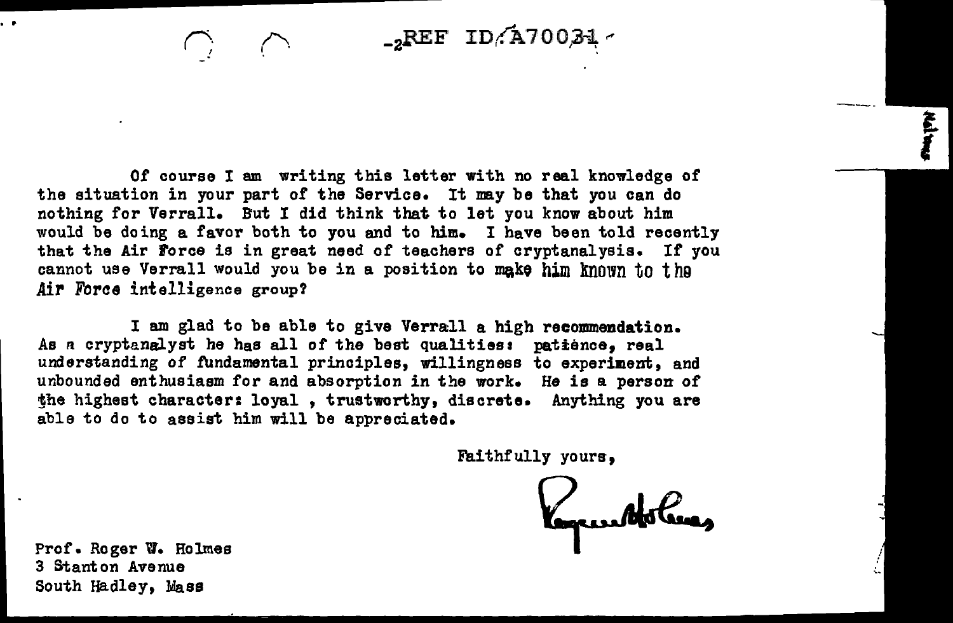$_{-2}$ REF ID/A70034

Of course I am writing this letter with no real knowledge of the situation in your part of the Service. It may be that you can do nothing for Verrall. But I did think that to let you know about him would be doing a favor both to you and to him. I have been told recently that the Air Force is in great need of teachers of cryptanalysis. If you cannot use Verrall would you be in a position to make him known to the Air Force intelligence group?

I am glad to be able to give Verrall a high recommendation. As *n* cryptanalyst he has all of the best qualities: patience, real understanding of fundamental principles, willingness to experiment, and unbounded enthusiasm for and absorption in the work. He is a person of the highest character: loyal, trustworthy, discrete. Anything you are able to do to assist him will be appreciated.

Faithfully yours,

Prof. Roger w. Holmes 3 Stanton Avenue South Hadley, Mass

.. *('\_. l*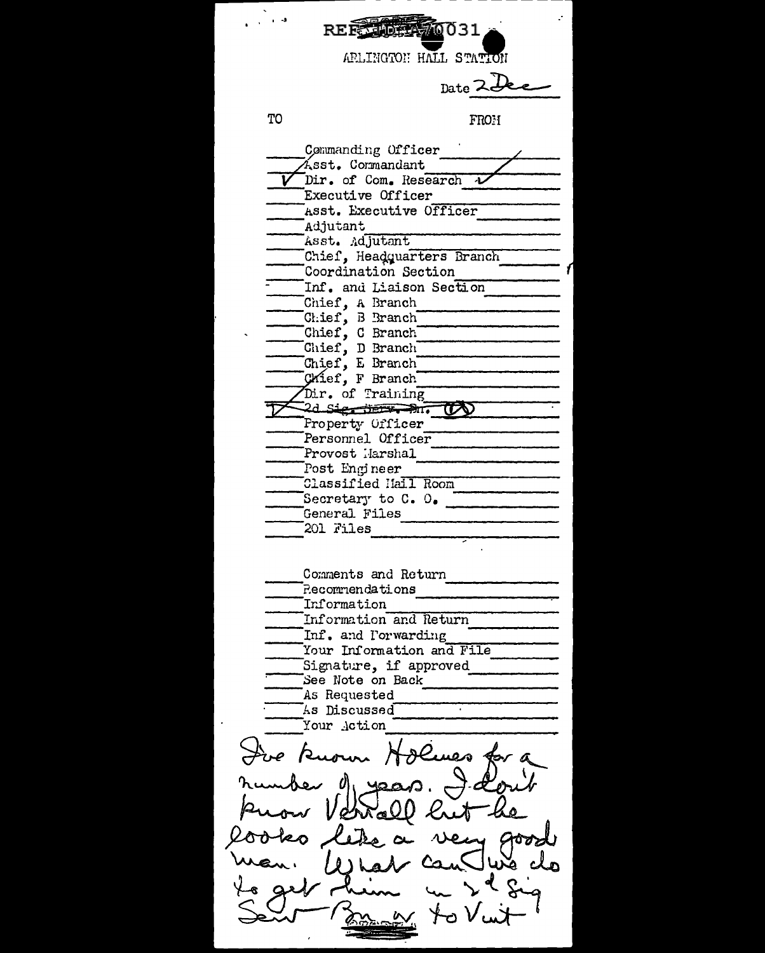REEL MAG0031 APLINGTON HALL STATION Date 2 Dec TO FROH Commanding Officer Ásst. Commandant  $\overline{\phantom{a}}$ Dir. of Com. Research  $\overline{\phantom{a}}$ Executive Officer Asst. Executive Officer Adjutant Asst. Adjutant Chief, Headquarters Branch Coordination Section Inf. and Liaison Section Chief, A Branch Chief, B Branch Chief, C Branch Chief, D Branch Chief, E Branch Chief, F Branch Dir. of Training  $2d$  Signification  $\mathbb{R}$ Property Officer Personnel Officer Provost Harshal Post Engineer Classified Hall Room Secretary to  $C. 0.$ General Files 201 Files Comments and Return **Pecommendations** Information Information and Return Inf. and Porwarding Your Information and File Signature, if approved See Note on Back As Requested As Discussed 77 Your Action Jue Known Holmes for a er di yea  $\mathcal{A}$ y good Ln  $1011$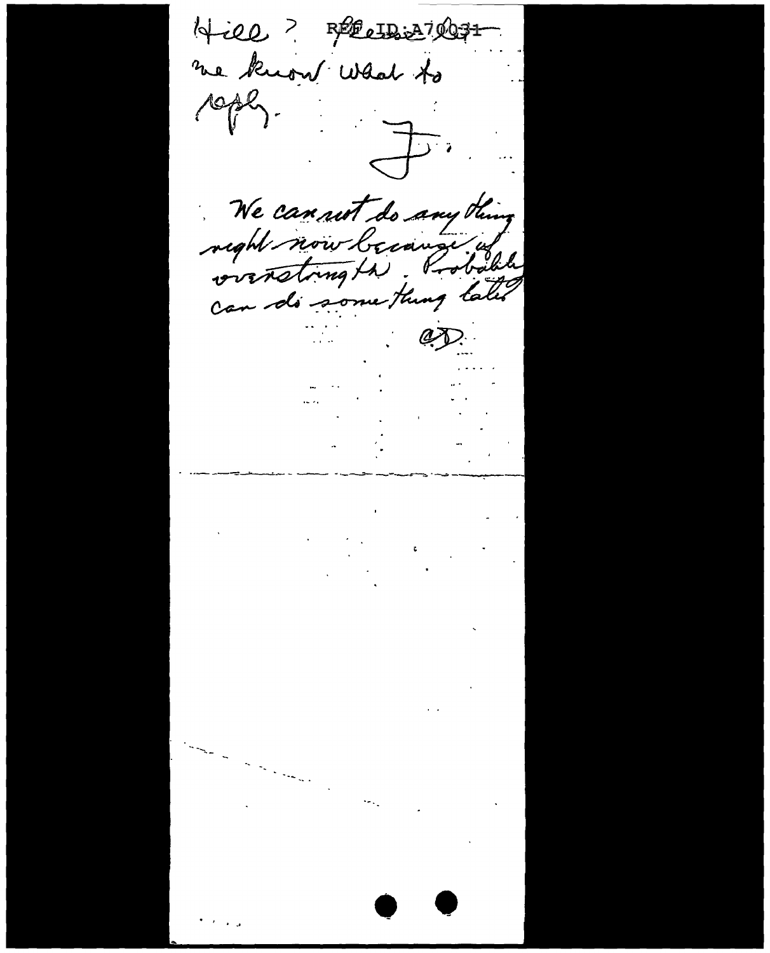Hill ? Recubic 27 degree me know what to coply.  $\frac{1}{\sqrt{2}}$ We can not do any thing reght now because of can do some thing take  $\mathbb{C}$  $\epsilon$  ,  $\epsilon$  ,  $\epsilon$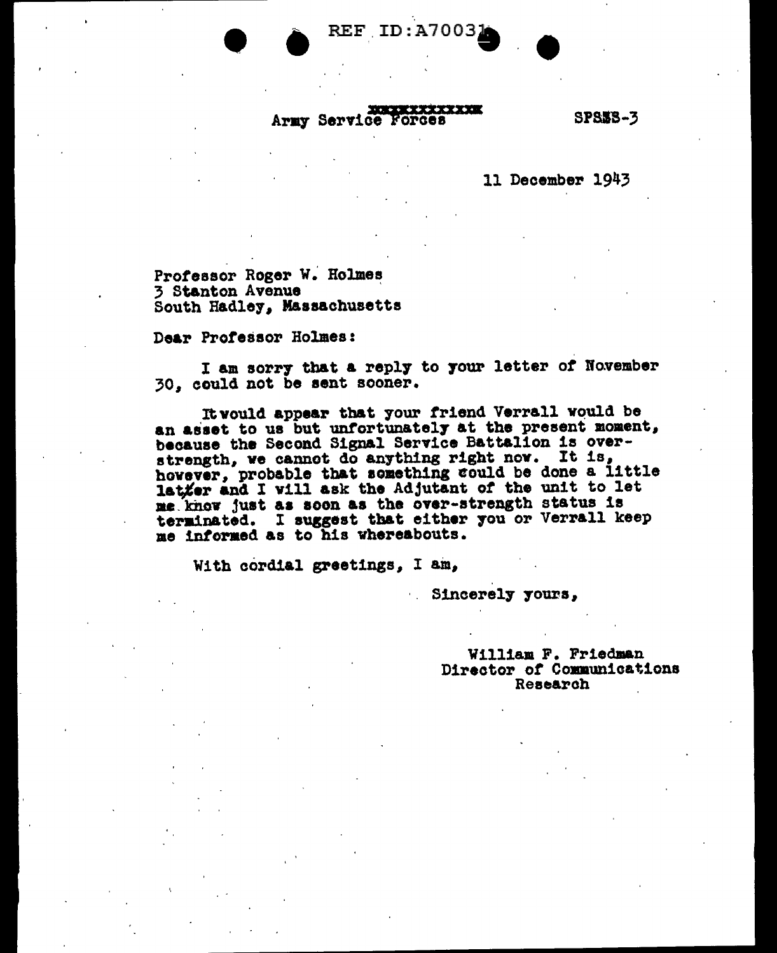**REF ID:A7003** 

#### **NORWER TEXT XXXX** Army Service Forces

**SPS58-3** 

11 December 1943

Professor Roger W. Holmes 3 Stanton Avenue South Hadley, Massachusetts

Dear Professor Holmes:

I am sorry that a reply to your letter of November 30. could not be sent sooner.

It would appear that your friend Verrall would be an asset to us but unfortunately at the present moment, because the Second Signal Service Battalion is overstrength, we cannot do anything right now. It is, however, probable that something could be done a little latter and I will ask the Adjutant of the unit to let me know just as soon as the over-strength status is terminated. I suggest that either you or Verrall keep me informed as to his whereabouts.

With cordial greetings, I am,

Sincerely yours,

William F. Friedman Director of Communications Research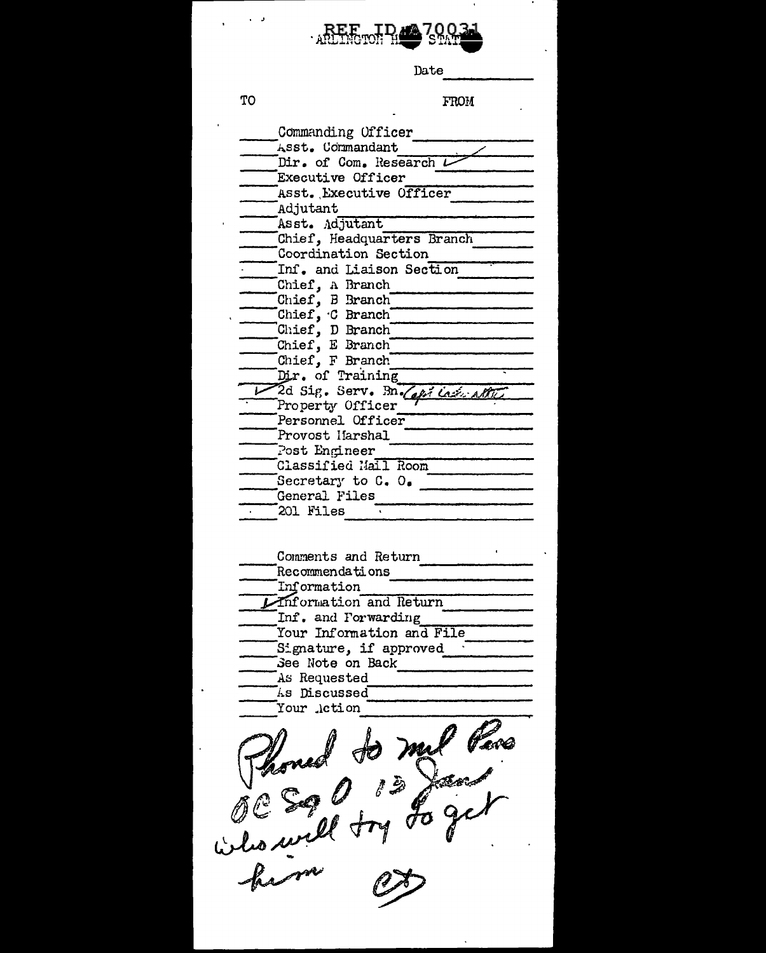

Date

**TO** 

 $\ddot{\phantom{a}}$ 

 $\ddot{\phantom{0}}$ 

 $\frac{1}{2}$  ,  $\frac{1}{2}$  ,  $\frac{1}{2}$ 

**FROM** 

 $\mathbf{u}$ 

 $\overline{\phantom{a}}$ 

 $\mathbf{r}$ 

 $\ddot{\phantom{a}}$ 

| Commanding Officer<br>Asst. Commandant |
|----------------------------------------|
| Dir. of Com. Research L                |
| Executive Officer                      |
|                                        |
| Asst. Executive Officer                |
| Adjutant                               |
| Asst. Adjutant                         |
| Chief, Headquarters Branch             |
| Coordination Section                   |
| Inf. and Liaison Section               |
| Chief, A Branch                        |
| Chief, B Branch                        |
| Chief, $C$ Branch                      |
| Chief, D Branch<br>Chief, E Branch     |
|                                        |
| Chief, F Branch                        |
| Dir. of Training                       |
| 2d Sig. Serv. Bn. Capi Lash Alther     |
| Property Officer                       |
| Personnel Officer                      |
| Provost Harshal                        |
| Post Engineer                          |
| Classified Mall Room                   |
| Secretary to C. O.                     |
| General Files                          |
| 201 Files                              |
|                                        |
|                                        |
| Comments and Return                    |
| Recommendations                        |
| Information                            |
| Information and Return                 |
| Inf. and Forwarding                    |
| Your Information and File              |
| Signature, if approved                 |
| See Note on Back                       |
| As Requested                           |
| Discussed<br>ÁS                        |
| Your Action                            |
|                                        |
| mu                                     |
|                                        |
|                                        |
|                                        |
|                                        |
|                                        |
| Sall try                               |
|                                        |
|                                        |

hem  $\overline{\mathscr{O}}$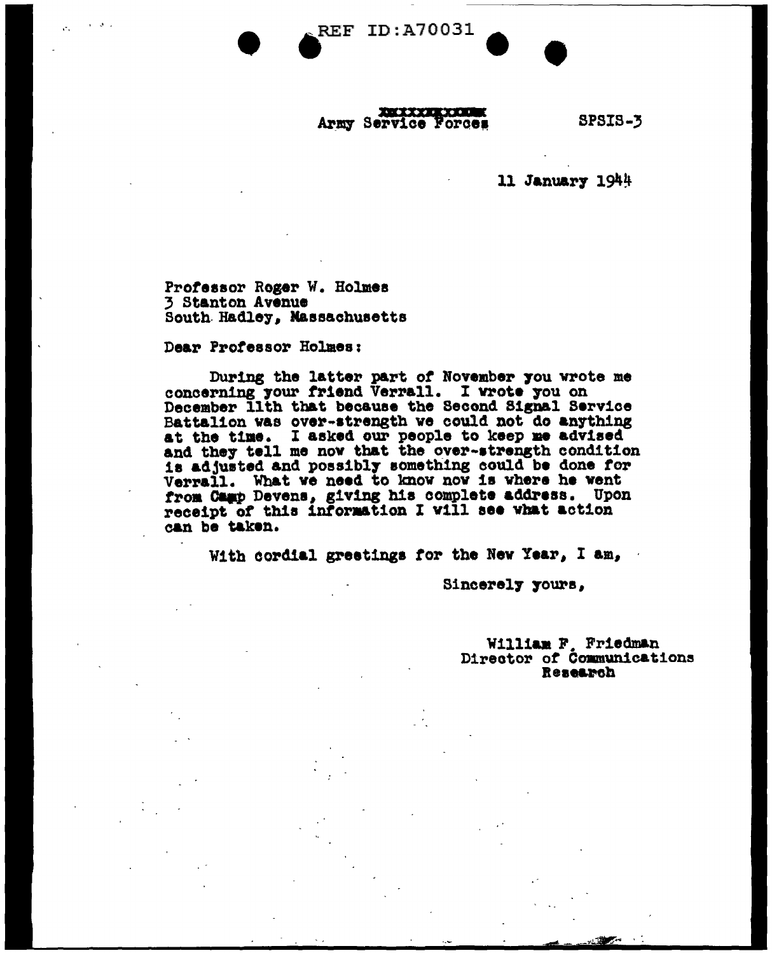**REF ID: A70031** 

## 

**SPSIS-3** 

11 January 1944

Professor Roger W. Holmes 3 Stanton Avenue South Hadley, Massachusetts

Dear Professor Holmes:

During the latter part of November you wrote me concerning your friend Verrall. I wrote you on December Ilth that because the Second Signal Service Battalion was over-strength we could not do anything at the time. I asked our people to keep me advised<br>and they tell me now that the over-strength condition is adjusted and possibly something could be done for Verrall. What we need to know now is where he went from Camp Devens, giving his complete address. Upon receipt of this information I will see what action can be taken.

With cordial greetings for the New Year, I am,

Sincerely yours,

William F. Friedman<br>Director of Communications Research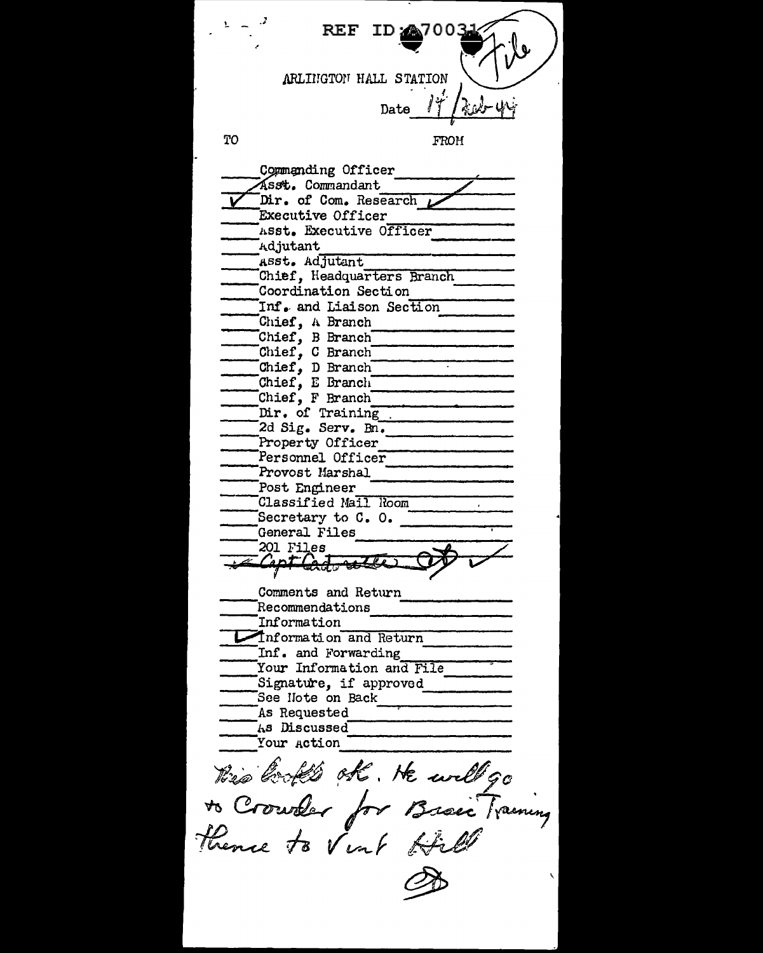**ID:447003 REF** ARLINGTON HALL STATION Date TO **FROM** Commanding Officer Asst. Commandant Dir. of Com. Research Executive Officer Asst. Executive Officer Adjutant Asst. Adjutant Chief. Headquarters Branch Coordination Section Inf. and Liaison Section Chief, A Branch Chief, B Branch Chief, C Branch Chief, D Branch<br>Chief, E Branch Chief, F Branch Dir. of Training 2d Sig. Serv. Bn. Property Officer Personnel Officer Provost Marshal Post Engineer Classified Mail Room Secretary to C. O. General Files 201 Files Capt Cod Comments and Return Recommendations Information Information and Return Inf. and Forwarding Your Information and File Signature, if approved See Note on Back As Requested As Discussed Your Action this books of the will go thence to Vint Hill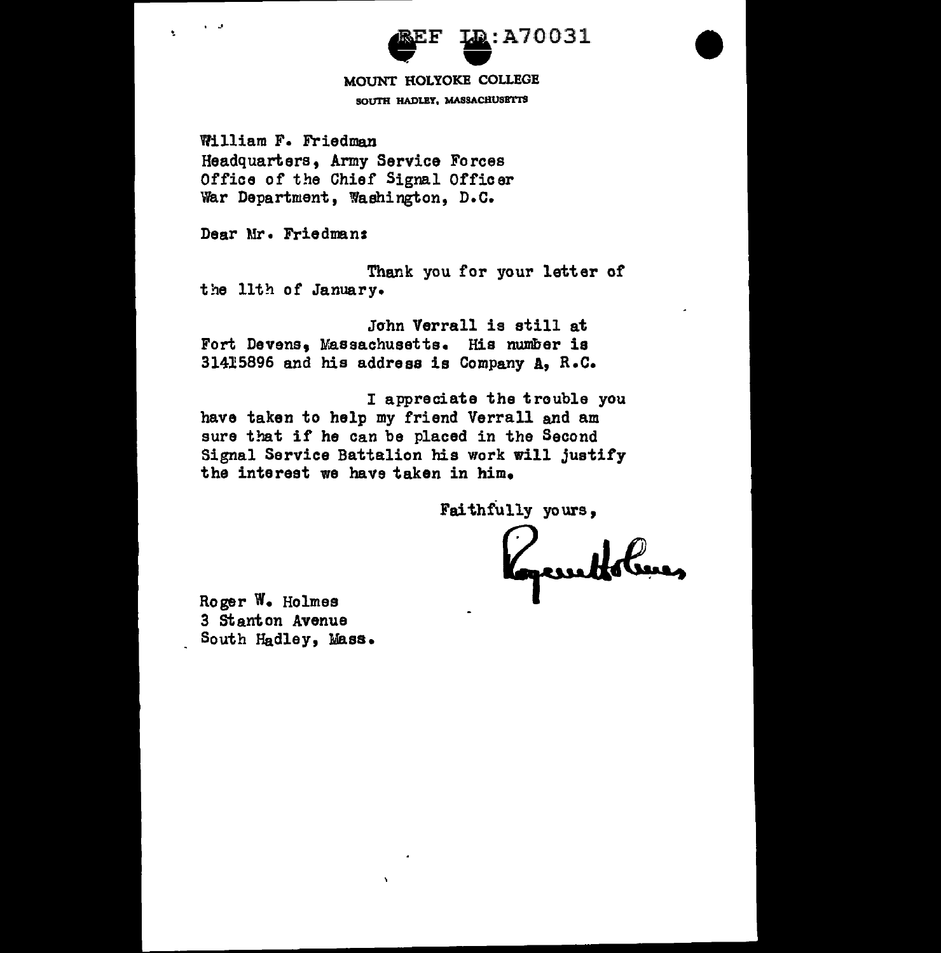## $a$ :A70031 EXECTED: A70

SOUTH HADLEY, MASSACHUSETTS

William F. Friedman Headquarters, Army Service Forces Office of the Chief Signal Officer 1var Department, Washington, D.c.

Dear Mr. Friedman:

• .J

Thank you for your letter of the 11th of January.

John Verrall is still at Fort Devens, Wassachusetts. His number is 31415896 and his address is Company A, R.c.

I appreciate the trouble you have taken to help my friend Verrall and am sure that if he can be placed in the Second Signal Service Battalion his work will justify the interest we have taken in him.

Faithfully yours,

Roger w. Holmes 3 stanton Avenue South Hadley, Mass.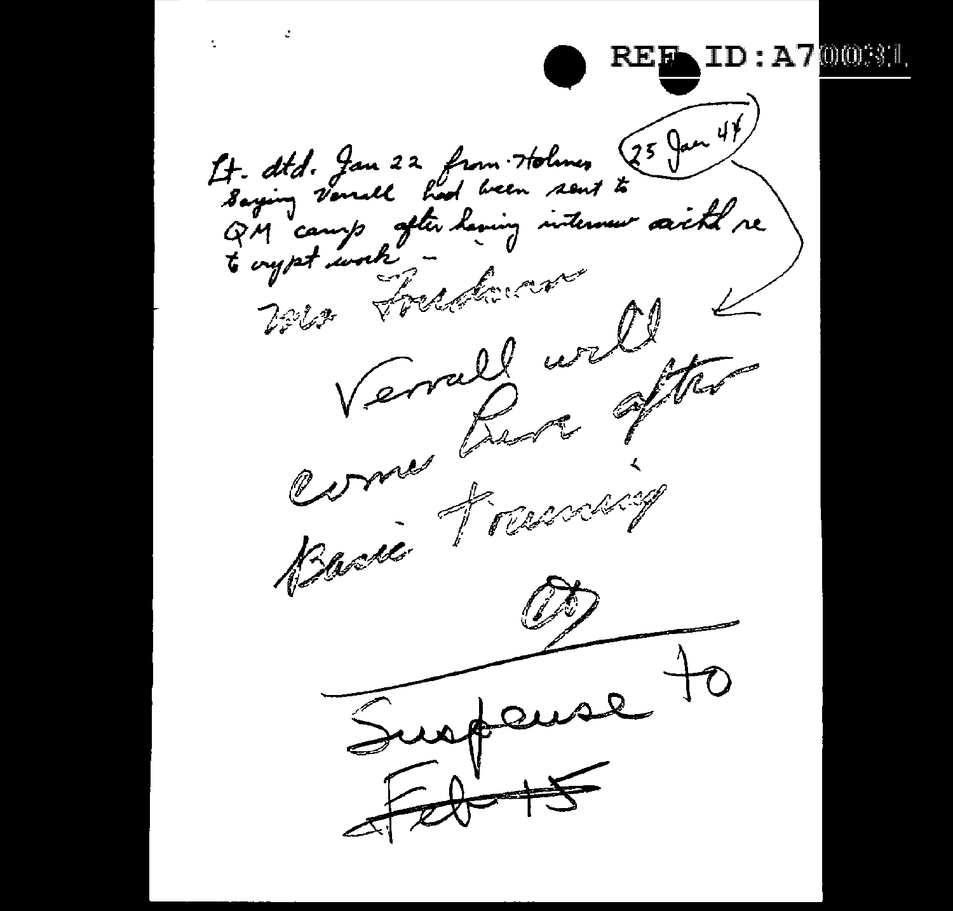ċ Ł. **ID:A700BL**  $f$  that de la 22 from Holmes 25 Jan 47 QM camp after laving internew saith.<br>6 crypt work was forestance Verrald well come Para often Bacie Francis  $\mu$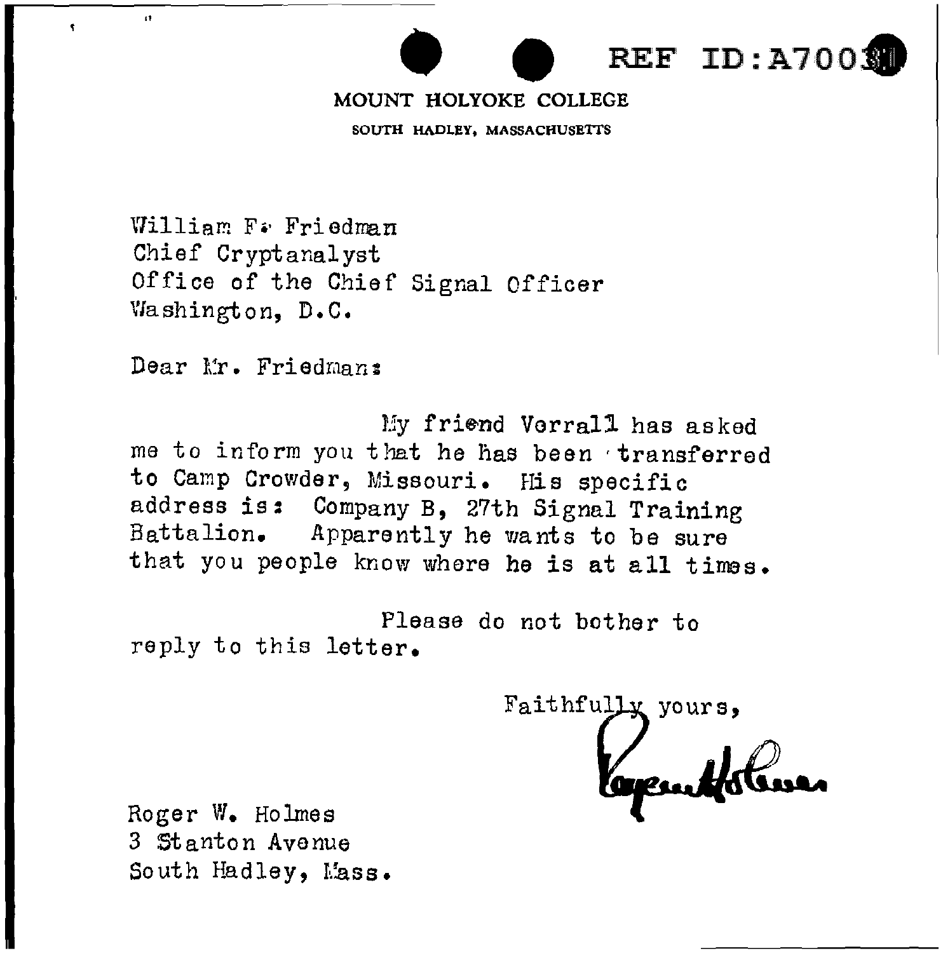# REF ID: A7003

### MOUNT HOLYOKE COLLEGE

SOUTH HADLEY, MASSACHUSETTS

William F. Friedman Chief Cryptanalyst Office of the Chief Signal Officer \'lashington, D.C.

Dear Mr. Friedman:

 $\ddot{\phantom{a}}$ 

My friend Vorrall has asked me to inform you that he has been transferred to Camp Crowder, Missouri. His specific address is: Company B, 27th Signal Training Battalion. Apparently he wants to be sure that you people know where he is at all times.

Please do not bother to reply to this letter.

Faithfully yours,

Roger w. Holmes 3 Stanton Avenue South Hadley, Mass.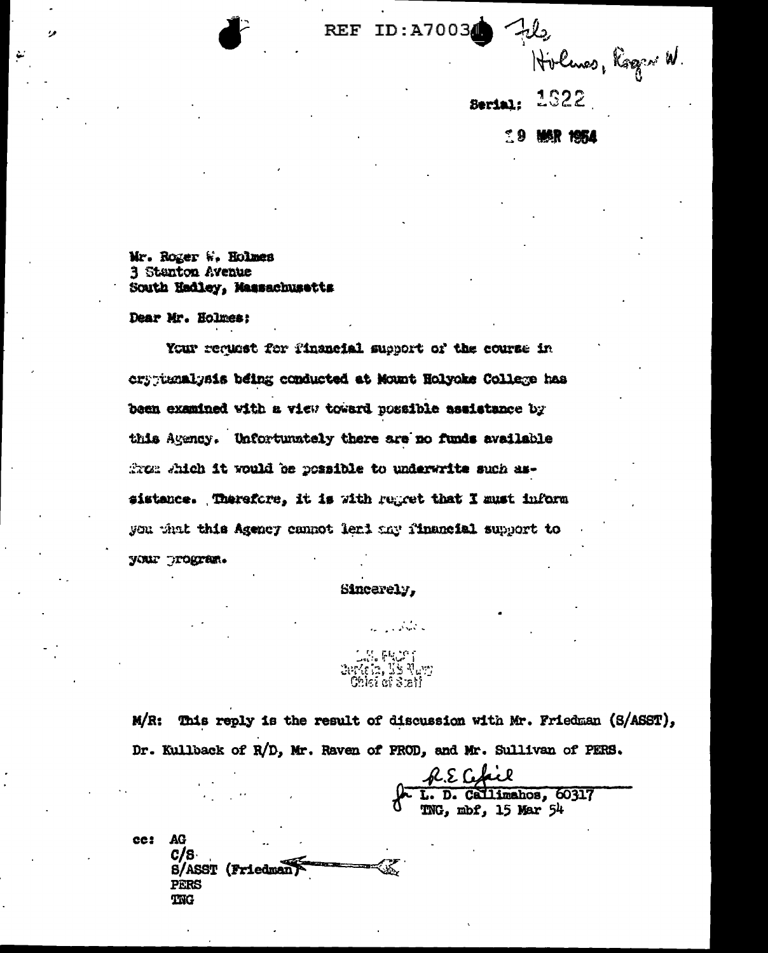REF ID:A70034

ريليك Hilmas, Ragen W.

**Serial:** 1922

 $\hat{.}9$ MAR 1954

Mr. Roger W. Holmes 3 Stanton Avenue South Hadley, Massachusetts

Dear Mr. Holmes:

Your request for financial support of the course in cryptunalysis being conducted at Mount Holyoke College has been examined with a view toward possible assistance by this Agency. Unfortunately there are no funds available from shich it would be possible to underwrite such assistance. Therefore, it is with regret that I must inform you what this Agency cannot leri any financial support to your program.

Sincerely,

**FRUST** erkein, TS Navy<br>"Chief of Steil"

 $M/R$ : This reply is the result of discussion with Mr. Friedman (S/ASST), Dr. Kullback of R/D, Mr. Raven of PROD, and Mr. Sullivan of PERS.

L. D. Callimahos, 60317 TNG, mbf, 15 Mar 54

**AG** cc: C/S **S/ASST (Friedman PERS** TNG